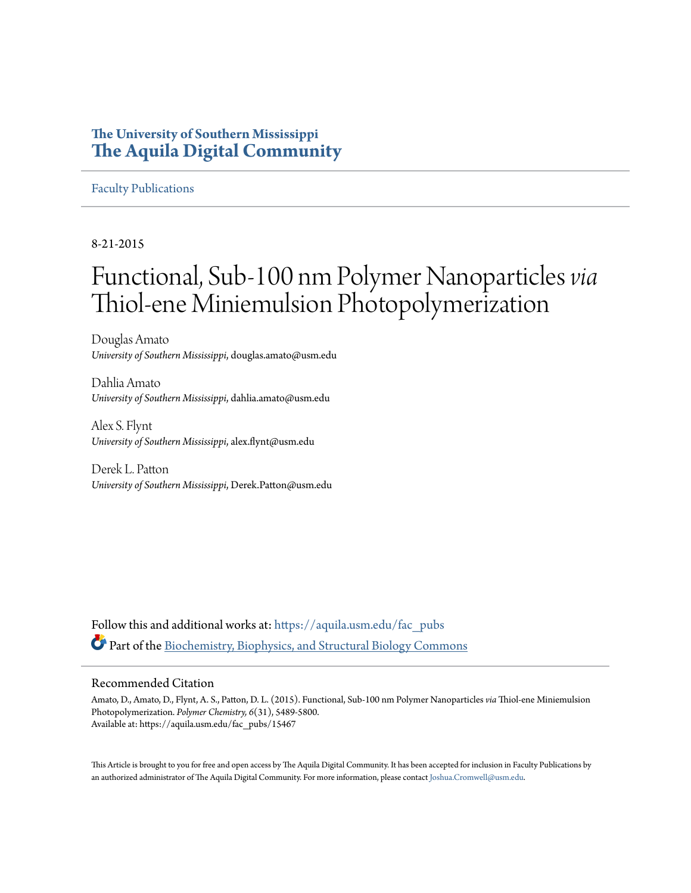### **The University of Southern Mississippi [The Aquila Digital Community](https://aquila.usm.edu?utm_source=aquila.usm.edu%2Ffac_pubs%2F15467&utm_medium=PDF&utm_campaign=PDFCoverPages)**

#### [Faculty Publications](https://aquila.usm.edu/fac_pubs?utm_source=aquila.usm.edu%2Ffac_pubs%2F15467&utm_medium=PDF&utm_campaign=PDFCoverPages)

#### 8-21-2015

# Functional, Sub-100 nm Polymer Nanoparticles*via* Thiol-ene Miniemulsion Photopolymerization

Douglas Amato *University of Southern Mississippi*, douglas.amato@usm.edu

Dahlia Amato *University of Southern Mississippi*, dahlia.amato@usm.edu

Alex S. Flynt *University of Southern Mississippi*, alex.flynt@usm.edu

Derek L. Patton *University of Southern Mississippi*, Derek.Patton@usm.edu

Follow this and additional works at: [https://aquila.usm.edu/fac\\_pubs](https://aquila.usm.edu/fac_pubs?utm_source=aquila.usm.edu%2Ffac_pubs%2F15467&utm_medium=PDF&utm_campaign=PDFCoverPages) Part of the [Biochemistry, Biophysics, and Structural Biology Commons](http://network.bepress.com/hgg/discipline/1?utm_source=aquila.usm.edu%2Ffac_pubs%2F15467&utm_medium=PDF&utm_campaign=PDFCoverPages)

#### Recommended Citation

Amato, D., Amato, D., Flynt, A. S., Patton, D. L. (2015). Functional, Sub-100 nm Polymer Nanoparticles*via* Thiol-ene Miniemulsion Photopolymerization. *Polymer Chemistry, 6*(31), 5489-5800. Available at: https://aquila.usm.edu/fac\_pubs/15467

This Article is brought to you for free and open access by The Aquila Digital Community. It has been accepted for inclusion in Faculty Publications by an authorized administrator of The Aquila Digital Community. For more information, please contact [Joshua.Cromwell@usm.edu](mailto:Joshua.Cromwell@usm.edu).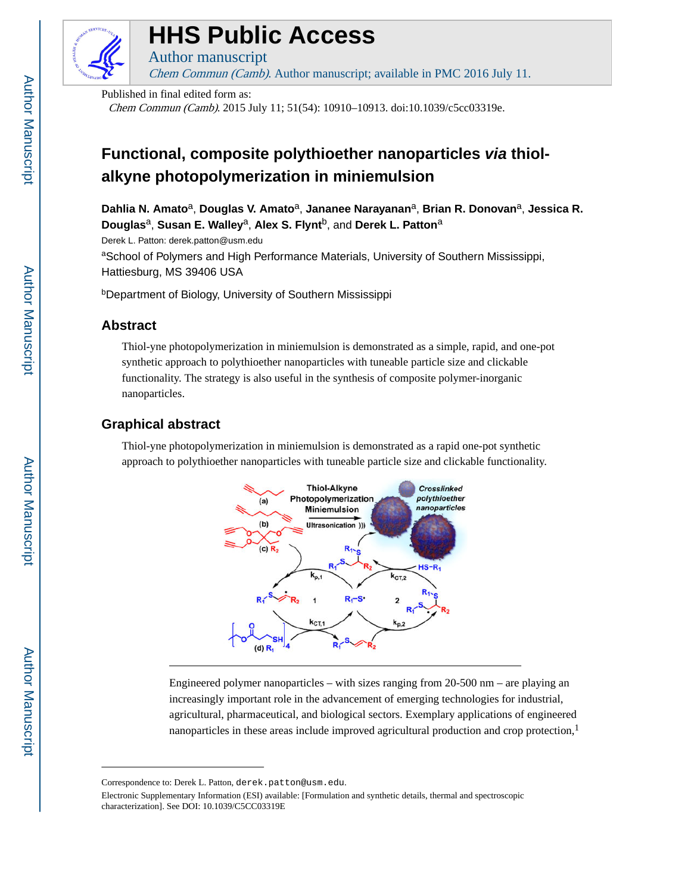

# **HHS Public Access**

Author manuscript Chem Commun (Camb). Author manuscript; available in PMC 2016 July 11.

Published in final edited form as:

Chem Commun (Camb). 2015 July 11; 51(54): 10910–10913. doi:10.1039/c5cc03319e.

## **Functional, composite polythioether nanoparticles via thiolalkyne photopolymerization in miniemulsion**

Dahlia N. Amato<sup>a</sup>, Douglas V. Amato<sup>a</sup>, Jananee Narayanan<sup>a</sup>, Brian R. Donovan<sup>a</sup>, Jessica R. **Douglas**a, **Susan E. Walley**a, **Alex S. Flynt**b, and **Derek L. Patton**<sup>a</sup>

Derek L. Patton: derek.patton@usm.edu

aSchool of Polymers and High Performance Materials, University of Southern Mississippi, Hattiesburg, MS 39406 USA

<sup>b</sup>Department of Biology, University of Southern Mississippi

#### **Abstract**

Thiol-yne photopolymerization in miniemulsion is demonstrated as a simple, rapid, and one-pot synthetic approach to polythioether nanoparticles with tuneable particle size and clickable functionality. The strategy is also useful in the synthesis of composite polymer-inorganic nanoparticles.

### **Graphical abstract**

Thiol-yne photopolymerization in miniemulsion is demonstrated as a rapid one-pot synthetic approach to polythioether nanoparticles with tuneable particle size and clickable functionality.



Engineered polymer nanoparticles – with sizes ranging from 20-500 nm – are playing an increasingly important role in the advancement of emerging technologies for industrial, agricultural, pharmaceutical, and biological sectors. Exemplary applications of engineered nanoparticles in these areas include improved agricultural production and crop protection,<sup>1</sup>

Correspondence to: Derek L. Patton, derek.patton@usm.edu.

Electronic Supplementary Information (ESI) available: [Formulation and synthetic details, thermal and spectroscopic characterization]. See DOI: 10.1039/C5CC03319E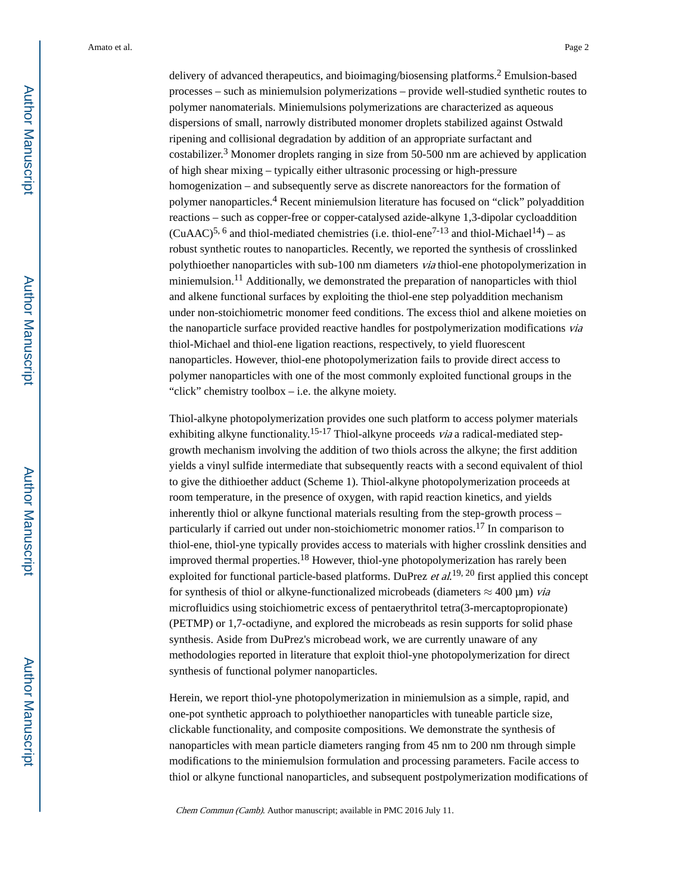delivery of advanced therapeutics, and bioimaging/biosensing platforms.<sup>2</sup> Emulsion-based processes – such as miniemulsion polymerizations – provide well-studied synthetic routes to polymer nanomaterials. Miniemulsions polymerizations are characterized as aqueous dispersions of small, narrowly distributed monomer droplets stabilized against Ostwald ripening and collisional degradation by addition of an appropriate surfactant and costabilizer.<sup>3</sup> Monomer droplets ranging in size from 50-500 nm are achieved by application of high shear mixing – typically either ultrasonic processing or high-pressure homogenization – and subsequently serve as discrete nanoreactors for the formation of polymer nanoparticles.<sup>4</sup> Recent miniemulsion literature has focused on "click" polyaddition reactions – such as copper-free or copper-catalysed azide-alkyne 1,3-dipolar cycloaddition (CuAAC)<sup>5, 6</sup> and thiol-mediated chemistries (i.e. thiol-ene<sup>7-13</sup> and thiol-Michael<sup>14</sup>) – as robust synthetic routes to nanoparticles. Recently, we reported the synthesis of crosslinked polythioether nanoparticles with sub-100 nm diameters via thiol-ene photopolymerization in miniemulsion.<sup>11</sup> Additionally, we demonstrated the preparation of nanoparticles with thiol and alkene functional surfaces by exploiting the thiol-ene step polyaddition mechanism under non-stoichiometric monomer feed conditions. The excess thiol and alkene moieties on the nanoparticle surface provided reactive handles for postpolymerization modifications via thiol-Michael and thiol-ene ligation reactions, respectively, to yield fluorescent nanoparticles. However, thiol-ene photopolymerization fails to provide direct access to polymer nanoparticles with one of the most commonly exploited functional groups in the "click" chemistry toolbox – i.e. the alkyne moiety.

Thiol-alkyne photopolymerization provides one such platform to access polymer materials exhibiting alkyne functionality.<sup>15-17</sup> Thiol-alkyne proceeds *via* a radical-mediated stepgrowth mechanism involving the addition of two thiols across the alkyne; the first addition yields a vinyl sulfide intermediate that subsequently reacts with a second equivalent of thiol to give the dithioether adduct (Scheme 1). Thiol-alkyne photopolymerization proceeds at room temperature, in the presence of oxygen, with rapid reaction kinetics, and yields inherently thiol or alkyne functional materials resulting from the step-growth process – particularly if carried out under non-stoichiometric monomer ratios.17 In comparison to thiol-ene, thiol-yne typically provides access to materials with higher crosslink densities and improved thermal properties.18 However, thiol-yne photopolymerization has rarely been exploited for functional particle-based platforms. DuPrez *et al.*<sup>19, 20</sup> first applied this concept for synthesis of thiol or alkyne-functionalized microbeads (diameters  $\approx 400 \,\mu m$ ) *via* microfluidics using stoichiometric excess of pentaerythritol tetra(3-mercaptopropionate) (PETMP) or 1,7-octadiyne, and explored the microbeads as resin supports for solid phase synthesis. Aside from DuPrez's microbead work, we are currently unaware of any methodologies reported in literature that exploit thiol-yne photopolymerization for direct synthesis of functional polymer nanoparticles.

Herein, we report thiol-yne photopolymerization in miniemulsion as a simple, rapid, and one-pot synthetic approach to polythioether nanoparticles with tuneable particle size, clickable functionality, and composite compositions. We demonstrate the synthesis of nanoparticles with mean particle diameters ranging from 45 nm to 200 nm through simple modifications to the miniemulsion formulation and processing parameters. Facile access to thiol or alkyne functional nanoparticles, and subsequent postpolymerization modifications of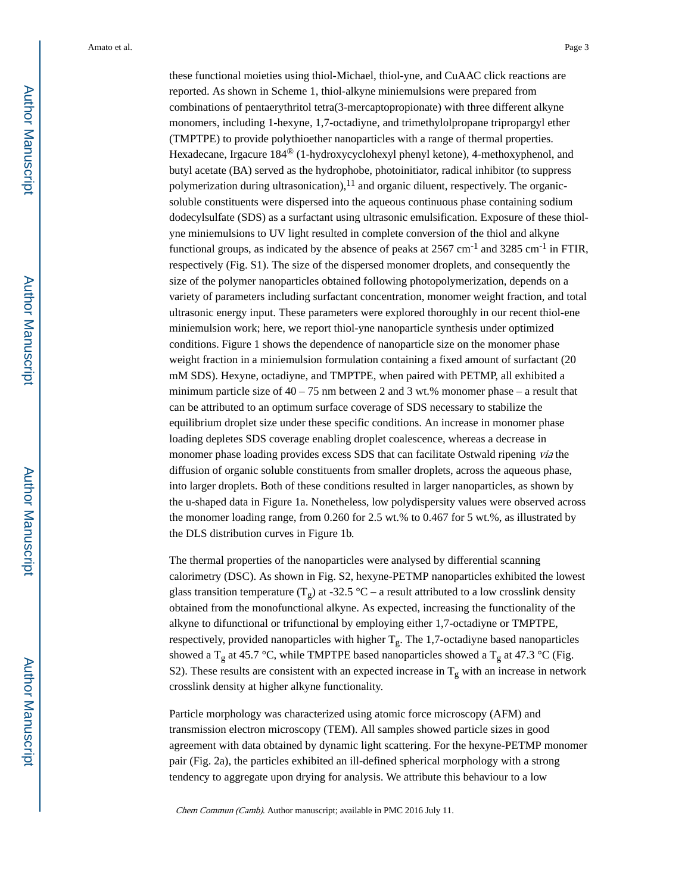these functional moieties using thiol-Michael, thiol-yne, and CuAAC click reactions are reported. As shown in Scheme 1, thiol-alkyne miniemulsions were prepared from combinations of pentaerythritol tetra(3-mercaptopropionate) with three different alkyne monomers, including 1-hexyne, 1,7-octadiyne, and trimethylolpropane tripropargyl ether (TMPTPE) to provide polythioether nanoparticles with a range of thermal properties. Hexadecane, Irgacure 184® (1-hydroxycyclohexyl phenyl ketone), 4-methoxyphenol, and butyl acetate (BA) served as the hydrophobe, photoinitiator, radical inhibitor (to suppress polymerization during ultrasonication), $^{11}$  and organic diluent, respectively. The organicsoluble constituents were dispersed into the aqueous continuous phase containing sodium dodecylsulfate (SDS) as a surfactant using ultrasonic emulsification. Exposure of these thiolyne miniemulsions to UV light resulted in complete conversion of the thiol and alkyne functional groups, as indicated by the absence of peaks at  $2567 \text{ cm}^{-1}$  and  $3285 \text{ cm}^{-1}$  in FTIR, respectively (Fig. S1). The size of the dispersed monomer droplets, and consequently the size of the polymer nanoparticles obtained following photopolymerization, depends on a variety of parameters including surfactant concentration, monomer weight fraction, and total ultrasonic energy input. These parameters were explored thoroughly in our recent thiol-ene miniemulsion work; here, we report thiol-yne nanoparticle synthesis under optimized conditions. Figure 1 shows the dependence of nanoparticle size on the monomer phase weight fraction in a miniemulsion formulation containing a fixed amount of surfactant (20 mM SDS). Hexyne, octadiyne, and TMPTPE, when paired with PETMP, all exhibited a minimum particle size of  $40 - 75$  nm between 2 and 3 wt.% monomer phase – a result that can be attributed to an optimum surface coverage of SDS necessary to stabilize the equilibrium droplet size under these specific conditions. An increase in monomer phase loading depletes SDS coverage enabling droplet coalescence, whereas a decrease in monomer phase loading provides excess SDS that can facilitate Ostwald ripening *via* the diffusion of organic soluble constituents from smaller droplets, across the aqueous phase, into larger droplets. Both of these conditions resulted in larger nanoparticles, as shown by the u-shaped data in Figure 1a. Nonetheless, low polydispersity values were observed across the monomer loading range, from 0.260 for 2.5 wt.% to 0.467 for 5 wt.%, as illustrated by the DLS distribution curves in Figure 1b.

The thermal properties of the nanoparticles were analysed by differential scanning calorimetry (DSC). As shown in Fig. S2, hexyne-PETMP nanoparticles exhibited the lowest glass transition temperature (T<sub>g</sub>) at -32.5 °C – a result attributed to a low crosslink density obtained from the monofunctional alkyne. As expected, increasing the functionality of the alkyne to difunctional or trifunctional by employing either 1,7-octadiyne or TMPTPE, respectively, provided nanoparticles with higher  $T_g$ . The 1,7-octadiyne based nanoparticles showed a T<sub>g</sub> at 45.7 °C, while TMPTPE based nanoparticles showed a T<sub>g</sub> at 47.3 °C (Fig. S2). These results are consistent with an expected increase in  $T_g$  with an increase in network crosslink density at higher alkyne functionality.

Particle morphology was characterized using atomic force microscopy (AFM) and transmission electron microscopy (TEM). All samples showed particle sizes in good agreement with data obtained by dynamic light scattering. For the hexyne-PETMP monomer pair (Fig. 2a), the particles exhibited an ill-defined spherical morphology with a strong tendency to aggregate upon drying for analysis. We attribute this behaviour to a low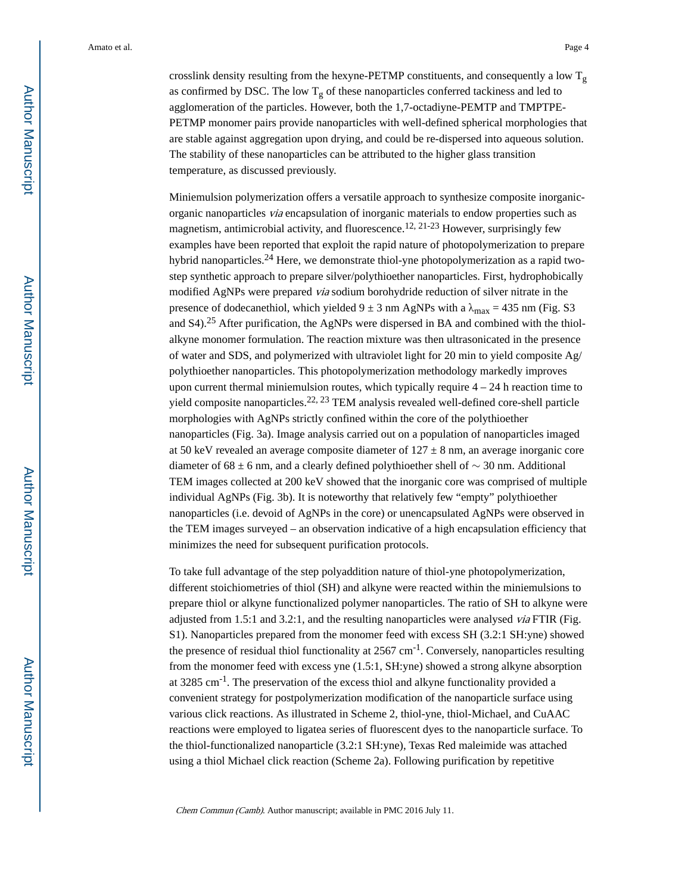crosslink density resulting from the hexyne-PETMP constituents, and consequently a low  $T_g$ as confirmed by DSC. The low  $T_g$  of these nanoparticles conferred tackiness and led to agglomeration of the particles. However, both the 1,7-octadiyne-PEMTP and TMPTPE-PETMP monomer pairs provide nanoparticles with well-defined spherical morphologies that are stable against aggregation upon drying, and could be re-dispersed into aqueous solution. The stability of these nanoparticles can be attributed to the higher glass transition temperature, as discussed previously.

Miniemulsion polymerization offers a versatile approach to synthesize composite inorganicorganic nanoparticles via encapsulation of inorganic materials to endow properties such as magnetism, antimicrobial activity, and fluorescence.<sup>12, 21-23</sup> However, surprisingly few examples have been reported that exploit the rapid nature of photopolymerization to prepare hybrid nanoparticles.24 Here, we demonstrate thiol-yne photopolymerization as a rapid twostep synthetic approach to prepare silver/polythioether nanoparticles. First, hydrophobically modified AgNPs were prepared via sodium borohydride reduction of silver nitrate in the presence of dodecanethiol, which yielded  $9 \pm 3$  nm AgNPs with a  $\lambda_{\text{max}} = 435$  nm (Fig. S3) and S4).25 After purification, the AgNPs were dispersed in BA and combined with the thiolalkyne monomer formulation. The reaction mixture was then ultrasonicated in the presence of water and SDS, and polymerized with ultraviolet light for 20 min to yield composite Ag/ polythioether nanoparticles. This photopolymerization methodology markedly improves upon current thermal miniemulsion routes, which typically require  $4 - 24$  h reaction time to yield composite nanoparticles.<sup>22, 23</sup> TEM analysis revealed well-defined core-shell particle morphologies with AgNPs strictly confined within the core of the polythioether nanoparticles (Fig. 3a). Image analysis carried out on a population of nanoparticles imaged at 50 keV revealed an average composite diameter of  $127 \pm 8$  nm, an average inorganic core diameter of 68 ± 6 nm, and a clearly defined polythioether shell of ∼ 30 nm. Additional TEM images collected at 200 keV showed that the inorganic core was comprised of multiple individual AgNPs (Fig. 3b). It is noteworthy that relatively few "empty" polythioether nanoparticles (i.e. devoid of AgNPs in the core) or unencapsulated AgNPs were observed in the TEM images surveyed – an observation indicative of a high encapsulation efficiency that minimizes the need for subsequent purification protocols.

To take full advantage of the step polyaddition nature of thiol-yne photopolymerization, different stoichiometries of thiol (SH) and alkyne were reacted within the miniemulsions to prepare thiol or alkyne functionalized polymer nanoparticles. The ratio of SH to alkyne were adjusted from 1.5:1 and 3.2:1, and the resulting nanoparticles were analysed via FTIR (Fig. S1). Nanoparticles prepared from the monomer feed with excess SH (3.2:1 SH:yne) showed the presence of residual thiol functionality at  $2567 \text{ cm}^{-1}$ . Conversely, nanoparticles resulting from the monomer feed with excess yne (1.5:1, SH:yne) showed a strong alkyne absorption at 3285 cm-1. The preservation of the excess thiol and alkyne functionality provided a convenient strategy for postpolymerization modification of the nanoparticle surface using various click reactions. As illustrated in Scheme 2, thiol-yne, thiol-Michael, and CuAAC reactions were employed to ligatea series of fluorescent dyes to the nanoparticle surface. To the thiol-functionalized nanoparticle (3.2:1 SH:yne), Texas Red maleimide was attached using a thiol Michael click reaction (Scheme 2a). Following purification by repetitive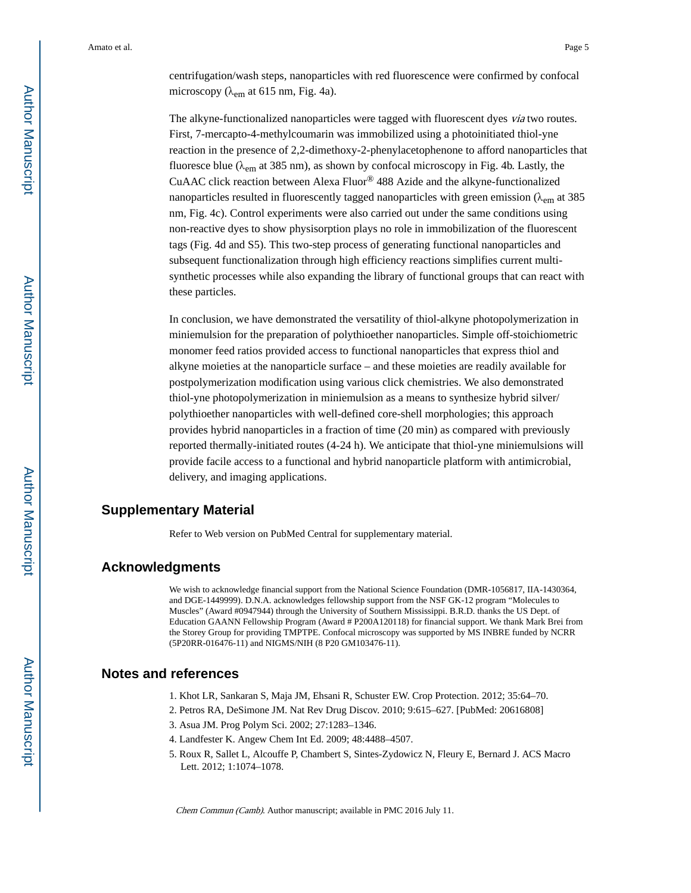centrifugation/wash steps, nanoparticles with red fluorescence were confirmed by confocal microscopy ( $\lambda_{em}$  at 615 nm, Fig. 4a).

The alkyne-functionalized nanoparticles were tagged with fluorescent dyes via two routes. First, 7-mercapto-4-methylcoumarin was immobilized using a photoinitiated thiol-yne reaction in the presence of 2,2-dimethoxy-2-phenylacetophenone to afford nanoparticles that fluoresce blue ( $\lambda_{em}$  at 385 nm), as shown by confocal microscopy in Fig. 4b. Lastly, the CuAAC click reaction between Alexa Fluor® 488 Azide and the alkyne-functionalized nanoparticles resulted in fluorescently tagged nanoparticles with green emission ( $\lambda_{em}$  at 385 nm, Fig. 4c). Control experiments were also carried out under the same conditions using non-reactive dyes to show physisorption plays no role in immobilization of the fluorescent tags (Fig. 4d and S5). This two-step process of generating functional nanoparticles and subsequent functionalization through high efficiency reactions simplifies current multisynthetic processes while also expanding the library of functional groups that can react with these particles.

In conclusion, we have demonstrated the versatility of thiol-alkyne photopolymerization in miniemulsion for the preparation of polythioether nanoparticles. Simple off-stoichiometric monomer feed ratios provided access to functional nanoparticles that express thiol and alkyne moieties at the nanoparticle surface – and these moieties are readily available for postpolymerization modification using various click chemistries. We also demonstrated thiol-yne photopolymerization in miniemulsion as a means to synthesize hybrid silver/ polythioether nanoparticles with well-defined core-shell morphologies; this approach provides hybrid nanoparticles in a fraction of time (20 min) as compared with previously reported thermally-initiated routes (4-24 h). We anticipate that thiol-yne miniemulsions will provide facile access to a functional and hybrid nanoparticle platform with antimicrobial, delivery, and imaging applications.

#### **Supplementary Material**

Refer to Web version on PubMed Central for supplementary material.

#### **Acknowledgments**

We wish to acknowledge financial support from the National Science Foundation (DMR-1056817, IIA-1430364, and DGE-1449999). D.N.A. acknowledges fellowship support from the NSF GK-12 program "Molecules to Muscles" (Award #0947944) through the University of Southern Mississippi. B.R.D. thanks the US Dept. of Education GAANN Fellowship Program (Award # P200A120118) for financial support. We thank Mark Brei from the Storey Group for providing TMPTPE. Confocal microscopy was supported by MS INBRE funded by NCRR (5P20RR-016476-11) and NIGMS/NIH (8 P20 GM103476-11).

#### **Notes and references**

- 1. Khot LR, Sankaran S, Maja JM, Ehsani R, Schuster EW. Crop Protection. 2012; 35:64–70.
- 2. Petros RA, DeSimone JM. Nat Rev Drug Discov. 2010; 9:615–627. [PubMed: 20616808]
- 3. Asua JM. Prog Polym Sci. 2002; 27:1283–1346.
- 4. Landfester K. Angew Chem Int Ed. 2009; 48:4488–4507.
- 5. Roux R, Sallet L, Alcouffe P, Chambert S, Sintes-Zydowicz N, Fleury E, Bernard J. ACS Macro Lett. 2012; 1:1074–1078.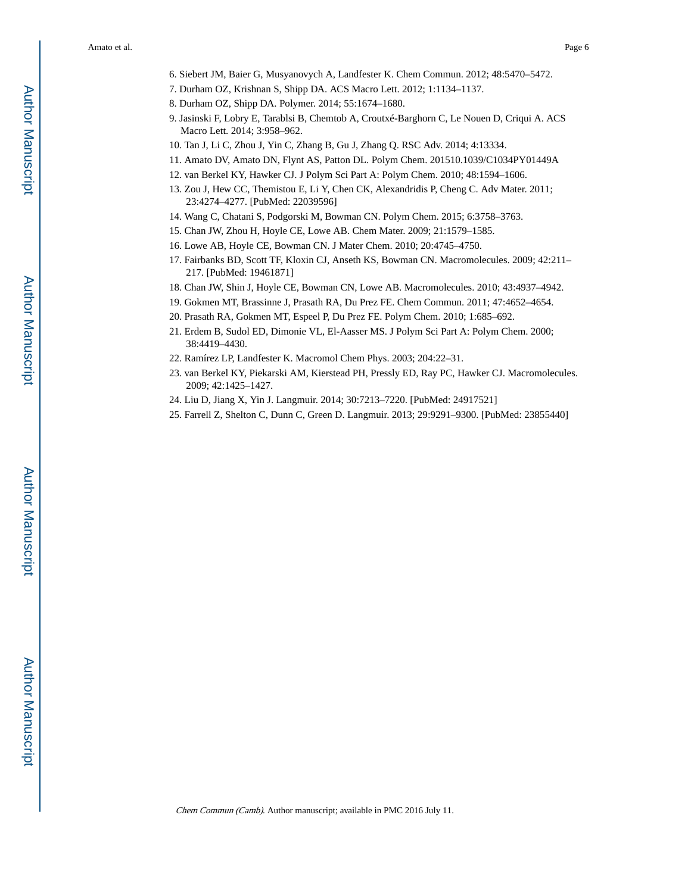- 6. Siebert JM, Baier G, Musyanovych A, Landfester K. Chem Commun. 2012; 48:5470–5472.
- 7. Durham OZ, Krishnan S, Shipp DA. ACS Macro Lett. 2012; 1:1134–1137.
- 8. Durham OZ, Shipp DA. Polymer. 2014; 55:1674–1680.
- 9. Jasinski F, Lobry E, Tarablsi B, Chemtob A, Croutxé-Barghorn C, Le Nouen D, Criqui A. ACS Macro Lett. 2014; 3:958–962.
- 10. Tan J, Li C, Zhou J, Yin C, Zhang B, Gu J, Zhang Q. RSC Adv. 2014; 4:13334.
- 11. Amato DV, Amato DN, Flynt AS, Patton DL. Polym Chem. 201510.1039/C1034PY01449A
- 12. van Berkel KY, Hawker CJ. J Polym Sci Part A: Polym Chem. 2010; 48:1594–1606.
- 13. Zou J, Hew CC, Themistou E, Li Y, Chen CK, Alexandridis P, Cheng C. Adv Mater. 2011; 23:4274–4277. [PubMed: 22039596]
- 14. Wang C, Chatani S, Podgorski M, Bowman CN. Polym Chem. 2015; 6:3758–3763.
- 15. Chan JW, Zhou H, Hoyle CE, Lowe AB. Chem Mater. 2009; 21:1579–1585.
- 16. Lowe AB, Hoyle CE, Bowman CN. J Mater Chem. 2010; 20:4745–4750.
- 17. Fairbanks BD, Scott TF, Kloxin CJ, Anseth KS, Bowman CN. Macromolecules. 2009; 42:211– 217. [PubMed: 19461871]
- 18. Chan JW, Shin J, Hoyle CE, Bowman CN, Lowe AB. Macromolecules. 2010; 43:4937–4942.
- 19. Gokmen MT, Brassinne J, Prasath RA, Du Prez FE. Chem Commun. 2011; 47:4652–4654.
- 20. Prasath RA, Gokmen MT, Espeel P, Du Prez FE. Polym Chem. 2010; 1:685–692.
- 21. Erdem B, Sudol ED, Dimonie VL, El-Aasser MS. J Polym Sci Part A: Polym Chem. 2000; 38:4419–4430.
- 22. Ramírez LP, Landfester K. Macromol Chem Phys. 2003; 204:22–31.
- 23. van Berkel KY, Piekarski AM, Kierstead PH, Pressly ED, Ray PC, Hawker CJ. Macromolecules. 2009; 42:1425–1427.
- 24. Liu D, Jiang X, Yin J. Langmuir. 2014; 30:7213–7220. [PubMed: 24917521]
- 25. Farrell Z, Shelton C, Dunn C, Green D. Langmuir. 2013; 29:9291–9300. [PubMed: 23855440]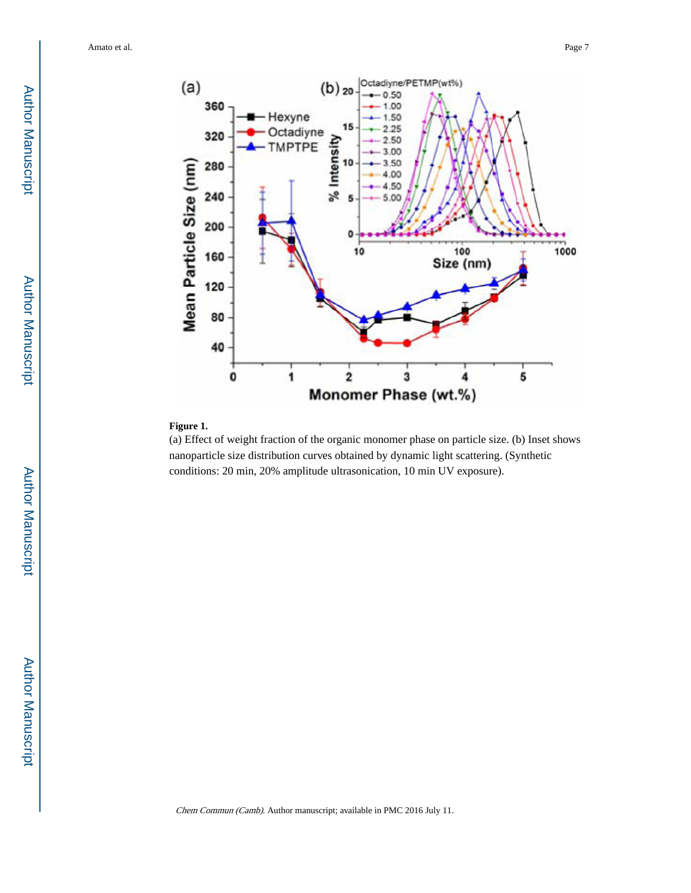

#### **Figure 1.**

(a) Effect of weight fraction of the organic monomer phase on particle size. (b) Inset shows nanoparticle size distribution curves obtained by dynamic light scattering. (Synthetic conditions: 20 min, 20% amplitude ultrasonication, 10 min UV exposure).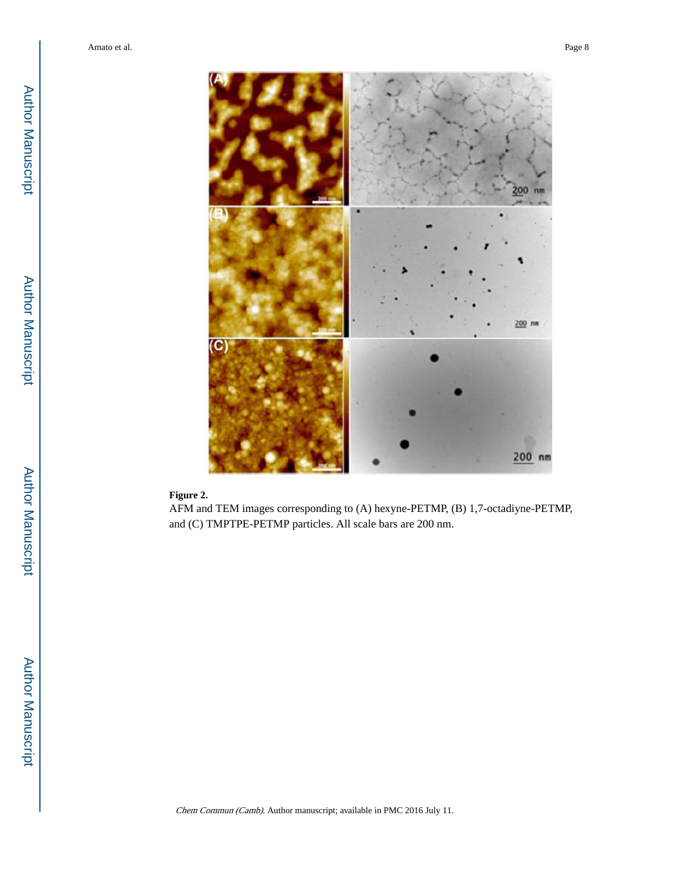

#### **Figure 2.**

AFM and TEM images corresponding to (A) hexyne-PETMP, (B) 1,7-octadiyne-PETMP, and (C) TMPTPE-PETMP particles. All scale bars are 200 nm.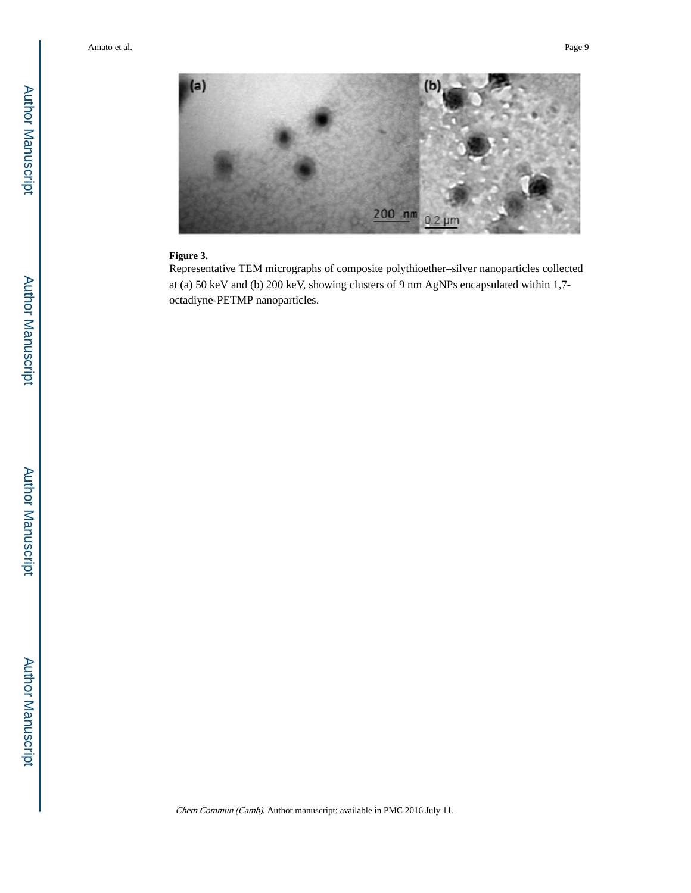

#### **Figure 3.**

Representative TEM micrographs of composite polythioether–silver nanoparticles collected at (a) 50 keV and (b) 200 keV, showing clusters of 9 nm AgNPs encapsulated within 1,7 octadiyne-PETMP nanoparticles.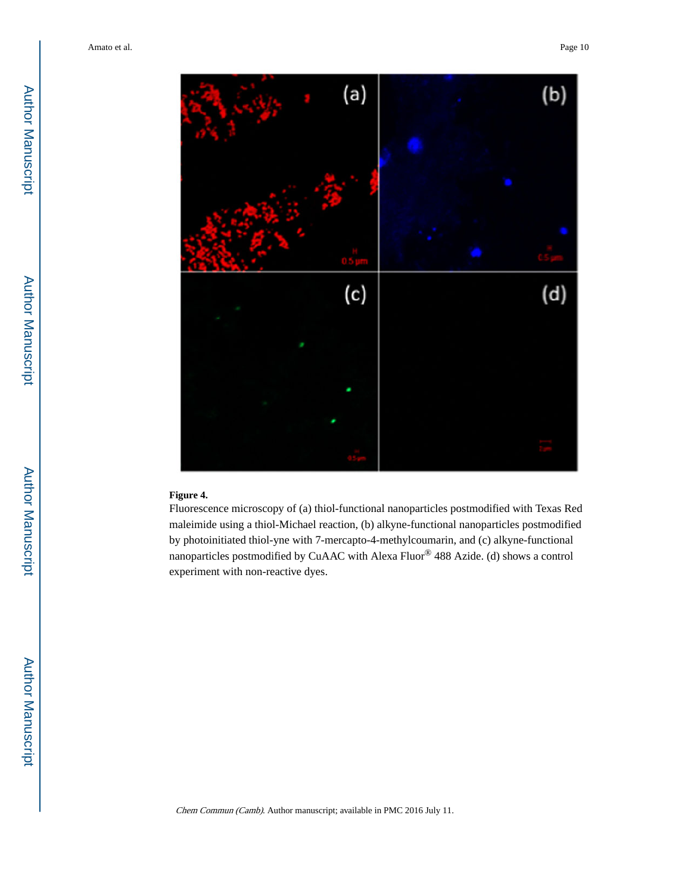

#### **Figure 4.**

Fluorescence microscopy of (a) thiol-functional nanoparticles postmodified with Texas Red maleimide using a thiol-Michael reaction, (b) alkyne-functional nanoparticles postmodified by photoinitiated thiol-yne with 7-mercapto-4-methylcoumarin, and (c) alkyne-functional nanoparticles postmodified by CuAAC with Alexa Fluor® 488 Azide. (d) shows a control experiment with non-reactive dyes.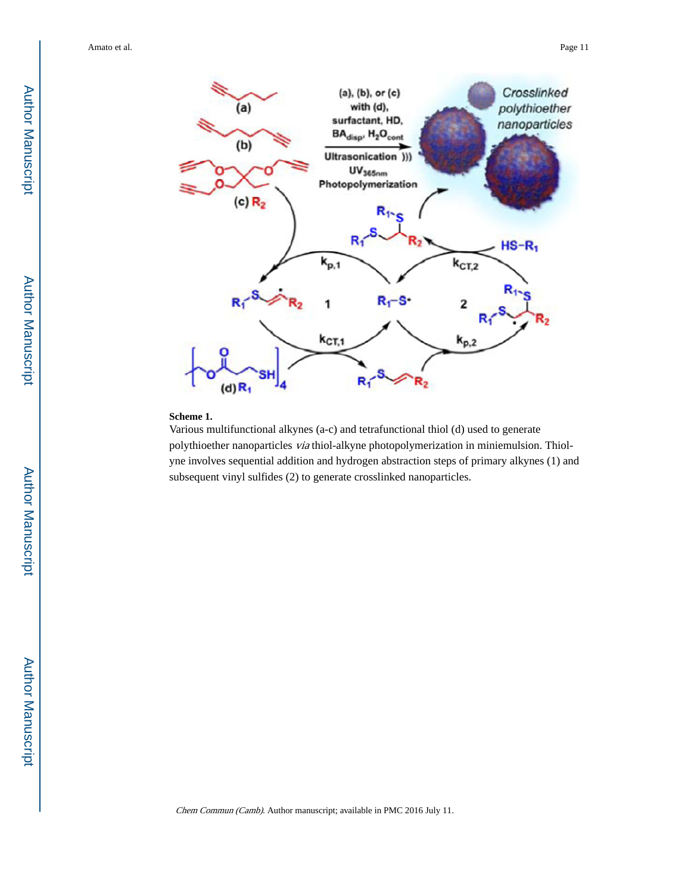Author ManuscriptAuthor Manuscript



#### **Scheme 1.**

Various multifunctional alkynes (a-c) and tetrafunctional thiol (d) used to generate polythioether nanoparticles via thiol-alkyne photopolymerization in miniemulsion. Thiolyne involves sequential addition and hydrogen abstraction steps of primary alkynes (1) and subsequent vinyl sulfides (2) to generate crosslinked nanoparticles.